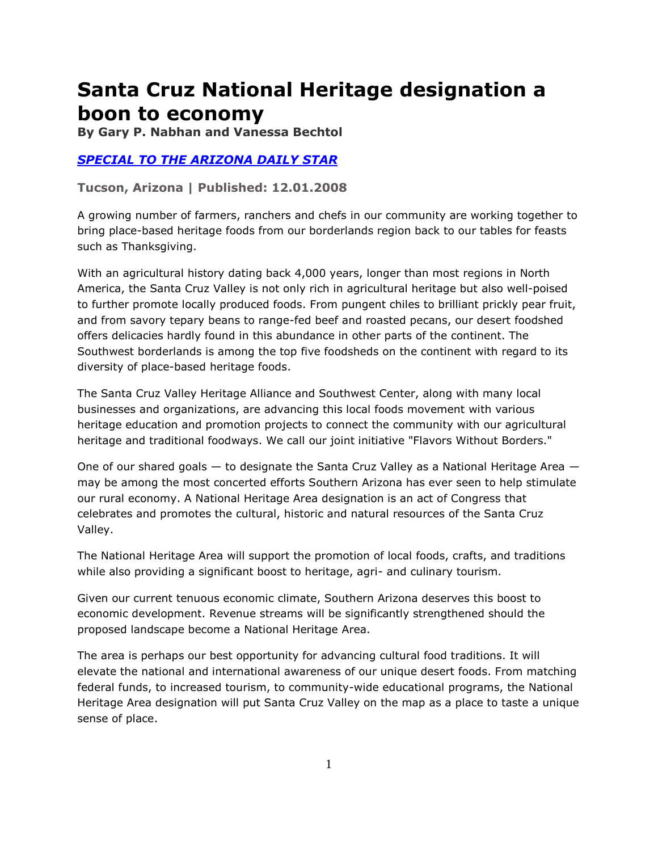## **Santa Cruz National Heritage designation a boon to economy**

**By Gary P. Nabhan and Vanessa Bechtol** 

## *[SPECIAL TO THE ARIZONA DAILY STAR](http://www.azstarnet.com/allheadlines/269354)*

**Tucson, Arizona | Published: 12.01.2008**

A growing number of farmers, ranchers and chefs in our community are working together to bring place-based heritage foods from our borderlands region back to our tables for feasts such as Thanksgiving.

With an agricultural history dating back 4,000 years, longer than most regions in North America, the Santa Cruz Valley is not only rich in agricultural heritage but also well-poised to further promote locally produced foods. From pungent chiles to brilliant prickly pear fruit, and from savory tepary beans to range-fed beef and roasted pecans, our desert foodshed offers delicacies hardly found in this abundance in other parts of the continent. The Southwest borderlands is among the top five foodsheds on the continent with regard to its diversity of place-based heritage foods.

The Santa Cruz Valley Heritage Alliance and Southwest Center, along with many local businesses and organizations, are advancing this local foods movement with various heritage education and promotion projects to connect the community with our agricultural heritage and traditional foodways. We call our joint initiative "Flavors Without Borders."

One of our shared goals — to designate the Santa Cruz Valley as a National Heritage Area may be among the most concerted efforts Southern Arizona has ever seen to help stimulate our rural economy. A National Heritage Area designation is an act of Congress that celebrates and promotes the cultural, historic and natural resources of the Santa Cruz Valley.

The National Heritage Area will support the promotion of local foods, crafts, and traditions while also providing a significant boost to heritage, agri- and culinary tourism.

Given our current tenuous economic climate, Southern Arizona deserves this boost to economic development. Revenue streams will be significantly strengthened should the proposed landscape become a National Heritage Area.

The area is perhaps our best opportunity for advancing cultural food traditions. It will elevate the national and international awareness of our unique desert foods. From matching federal funds, to increased tourism, to community-wide educational programs, the National Heritage Area designation will put Santa Cruz Valley on the map as a place to taste a unique sense of place.